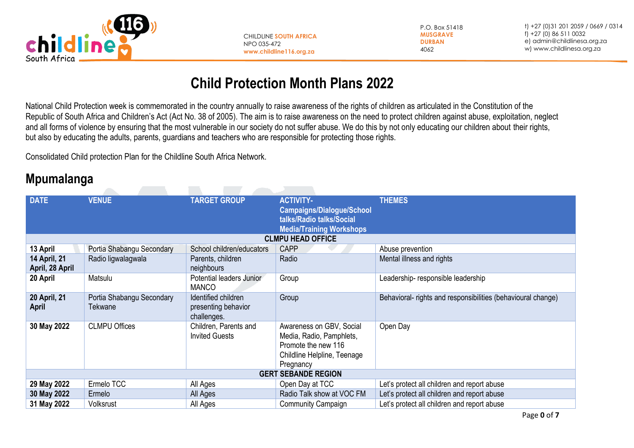

CHILDLINE **SOUTH AFRICA** NPO 035-472 **www.childline116.org.za**

P.O. Box 51418 **MUSGRAVE DURBAN** 4062

t) +27 (0)31 201 2059 / 0669 / 0314 f) +27 (0) 86 511 0032 e[\) admin@childlinesa.org.za](mailto:admin@childlinesa.org.za) w) www.childlinesa.org.za

## **Child Protection Month Plans 2022**

National Child Protection week is commemorated in the country annually to raise awareness of the rights of children as articulated in the Constitution of the Republic of South Africa and Children's Act (Act No. 38 of 2005). The aim is to raise awareness on the need to protect children against abuse, exploitation, neglect and all forms of violence by ensuring that the most vulnerable in our society do not suffer abuse. We do this by not only educating our children about their rights, but also by educating the adults, parents, guardians and teachers who are responsible for protecting those rights.

Consolidated Child protection Plan for the Childline South Africa Network.

## **Mpumalanga**

| <b>DATE</b>                            | <b>VENUE</b>                         | <b>TARGET GROUP</b>                                       | <b>ACTIVITY-</b><br><b>Campaigns/Dialogue/School</b><br>talks/Radio talks/Social<br><b>Media/Training Workshops</b>     | <b>THEMES</b>                                                |
|----------------------------------------|--------------------------------------|-----------------------------------------------------------|-------------------------------------------------------------------------------------------------------------------------|--------------------------------------------------------------|
|                                        |                                      |                                                           | <b>CLMPU HEAD OFFICE</b>                                                                                                |                                                              |
| 13 April                               | Portia Shabangu Secondary            | School children/educators                                 | <b>CAPP</b>                                                                                                             | Abuse prevention                                             |
| <b>14 April, 21</b><br>April, 28 April | Radio ligwalagwala                   | Parents, children<br>neighbours                           | Radio                                                                                                                   | Mental illness and rights                                    |
| 20 April                               | Matsulu                              | Potential leaders Junior<br><b>MANCO</b>                  | Group                                                                                                                   | Leadership- responsible leadership                           |
| 20 April, 21<br><b>April</b>           | Portia Shabangu Secondary<br>Tekwane | Identified children<br>presenting behavior<br>challenges. | Group                                                                                                                   | Behavioral- rights and responsibilities (behavioural change) |
| 30 May 2022                            | <b>CLMPU Offices</b>                 | Children, Parents and<br><b>Invited Guests</b>            | Awareness on GBV, Social<br>Media, Radio, Pamphlets,<br>Promote the new 116<br>Childline Helpline, Teenage<br>Pregnancy | Open Day                                                     |
|                                        |                                      |                                                           | <b>GERT SEBANDE REGION</b>                                                                                              |                                                              |
| 29 May 2022                            | Ermelo TCC                           | All Ages                                                  | Open Day at TCC                                                                                                         | Let's protect all children and report abuse                  |
| 30 May 2022                            | Ermelo                               | All Ages                                                  | Radio Talk show at VOC FM                                                                                               | Let's protect all children and report abuse                  |
| 31 May 2022                            | Volksrust                            | All Ages                                                  | Community Campaign                                                                                                      | Let's protect all children and report abuse                  |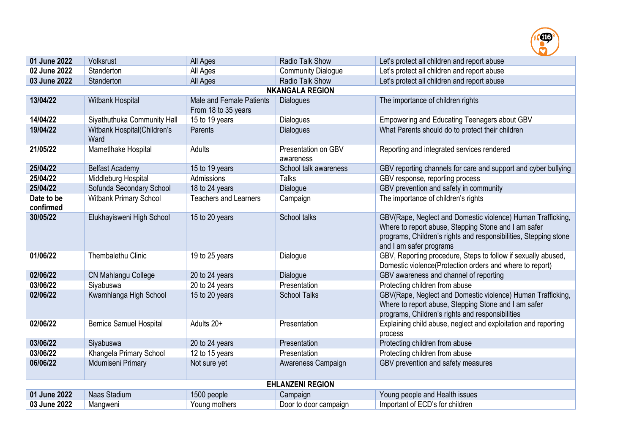

| 01 June 2022            | Volksrust                           | All Ages                                        | Radio Talk Show                  | Let's protect all children and report abuse                                                                                                                                                                        |
|-------------------------|-------------------------------------|-------------------------------------------------|----------------------------------|--------------------------------------------------------------------------------------------------------------------------------------------------------------------------------------------------------------------|
| 02 June 2022            | Standerton                          | All Ages                                        | <b>Community Dialogue</b>        | Let's protect all children and report abuse                                                                                                                                                                        |
| 03 June 2022            | Standerton                          | All Ages                                        | Radio Talk Show                  | Let's protect all children and report abuse                                                                                                                                                                        |
|                         |                                     |                                                 | <b>NKANGALA REGION</b>           |                                                                                                                                                                                                                    |
| 13/04/22                | Witbank Hospital                    | Male and Female Patients<br>From 18 to 35 years | <b>Dialogues</b>                 | The importance of children rights                                                                                                                                                                                  |
| 14/04/22                | Siyathuthuka Community Hall         | 15 to 19 years                                  | <b>Dialogues</b>                 | Empowering and Educating Teenagers about GBV                                                                                                                                                                       |
| 19/04/22                | Witbank Hospital(Children's<br>Ward | Parents                                         | <b>Dialogues</b>                 | What Parents should do to protect their children                                                                                                                                                                   |
| 21/05/22                | Mametlhake Hospital                 | Adults                                          | Presentation on GBV<br>awareness | Reporting and integrated services rendered                                                                                                                                                                         |
| 25/04/22                | <b>Belfast Academy</b>              | 15 to 19 years                                  | School talk awareness            | GBV reporting channels for care and support and cyber bullying                                                                                                                                                     |
| 25/04/22                | Middleburg Hospital                 | Admissions                                      | <b>Talks</b>                     | GBV response, reporting process                                                                                                                                                                                    |
| 25/04/22                | Sofunda Secondary School            | 18 to 24 years                                  | Dialogue                         | GBV prevention and safety in community                                                                                                                                                                             |
| Date to be<br>confirmed | <b>Witbank Primary School</b>       | <b>Teachers and Learners</b>                    | Campaign                         | The importance of children's rights                                                                                                                                                                                |
| 30/05/22                | Elukhayisweni High School           | 15 to 20 years                                  | School talks                     | GBV(Rape, Neglect and Domestic violence) Human Trafficking,<br>Where to report abuse, Stepping Stone and I am safer<br>programs, Children's rights and responsibilities, Stepping stone<br>and I am safer programs |
| 01/06/22                | Thembalethu Clinic                  | 19 to 25 years                                  | Dialogue                         | GBV, Reporting procedure, Steps to follow if sexually abused,<br>Domestic violence(Protection orders and where to report)                                                                                          |
| 02/06/22                | CN Mahlangu College                 | 20 to 24 years                                  | Dialogue                         | GBV awareness and channel of reporting                                                                                                                                                                             |
| 03/06/22                | Siyabuswa                           | 20 to 24 years                                  | Presentation                     | Protecting children from abuse                                                                                                                                                                                     |
| 02/06/22                | Kwamhlanga High School              | 15 to 20 years                                  | <b>School Talks</b>              | GBV(Rape, Neglect and Domestic violence) Human Trafficking,<br>Where to report abuse, Stepping Stone and I am safer<br>programs, Children's rights and responsibilities                                            |
| 02/06/22                | <b>Bernice Samuel Hospital</b>      | Adults 20+                                      | Presentation                     | Explaining child abuse, neglect and exploitation and reporting<br>process                                                                                                                                          |
| 03/06/22                | Siyabuswa                           | 20 to 24 years                                  | Presentation                     | Protecting children from abuse                                                                                                                                                                                     |
| 03/06/22                | Khangela Primary School             | 12 to 15 years                                  | Presentation                     | Protecting children from abuse                                                                                                                                                                                     |
| 06/06/22                | Mdumiseni Primary                   | Not sure yet                                    | Awareness Campaign               | GBV prevention and safety measures                                                                                                                                                                                 |
|                         |                                     |                                                 | <b>EHLANZENI REGION</b>          |                                                                                                                                                                                                                    |
| 01 June 2022            | Naas Stadium                        | 1500 people                                     | Campaign                         | Young people and Health issues                                                                                                                                                                                     |
| 03 June 2022            | Mangweni                            | Young mothers                                   | Door to door campaign            | Important of ECD's for children                                                                                                                                                                                    |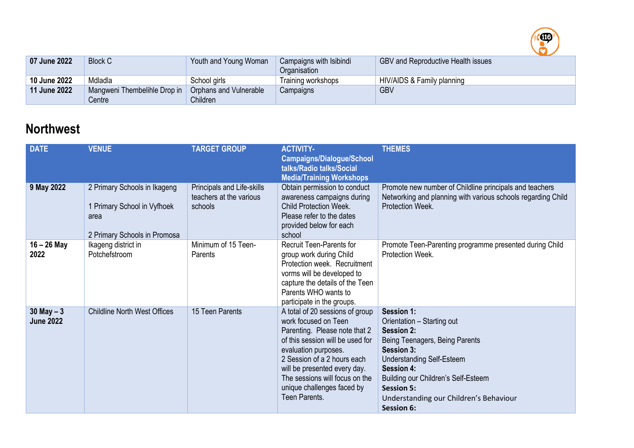

| 07 June 2022 | <b>Block C</b>               | Youth and Young Woman         | Campaigns with Isibindi<br>Organisation | <b>GBV and Reproductive Health issues</b> |
|--------------|------------------------------|-------------------------------|-----------------------------------------|-------------------------------------------|
| 10 June 2022 | Mdladla                      | School girls                  | Training workshops                      | HIV/AIDS & Family planning                |
| 11 June 2022 | Mangweni Thembelihle Drop in | <b>Orphans and Vulnerable</b> | Campaigns                               | <b>GBV</b>                                |
|              | Centre⊺                      | Children                      |                                         |                                           |

## **Northwest**

| <b>DATE</b>                       | <b>VENUE</b>                                                                                        | <b>TARGET GROUP</b>                                              | <b>ACTIVITY-</b><br><b>Campaigns/Dialogue/School</b><br>talks/Radio talks/Social<br><b>Media/Training Workshops</b>                                                                                                                                                                                  | <b>THEMES</b>                                                                                                                                                                                                                                                                                            |
|-----------------------------------|-----------------------------------------------------------------------------------------------------|------------------------------------------------------------------|------------------------------------------------------------------------------------------------------------------------------------------------------------------------------------------------------------------------------------------------------------------------------------------------------|----------------------------------------------------------------------------------------------------------------------------------------------------------------------------------------------------------------------------------------------------------------------------------------------------------|
| 9 May 2022                        | 2 Primary Schools in Ikageng<br>1 Primary School in Vyfhoek<br>area<br>2 Primary Schools in Promosa | Principals and Life-skills<br>teachers at the various<br>schools | Obtain permission to conduct<br>awareness campaigns during<br><b>Child Protection Week.</b><br>Please refer to the dates<br>provided below for each<br>school                                                                                                                                        | Promote new number of Childline principals and teachers<br>Networking and planning with various schools regarding Child<br>Protection Week.                                                                                                                                                              |
| $16 - 26$ May<br>2022             | Ikageng district in<br>Potchefstroom                                                                | Minimum of 15 Teen-<br>Parents                                   | <b>Recruit Teen-Parents for</b><br>group work during Child<br>Protection week. Recruitment<br>vorms will be developed to<br>capture the details of the Teen<br>Parents WHO wants to<br>participate in the groups.                                                                                    | Promote Teen-Parenting programme presented during Child<br>Protection Week.                                                                                                                                                                                                                              |
| $30$ May $-3$<br><b>June 2022</b> | <b>Childline North West Offices</b>                                                                 | 15 Teen Parents                                                  | A total of 20 sessions of group<br>work focused on Teen<br>Parenting. Please note that 2<br>of this session will be used for<br>evaluation purposes.<br>2 Session of a 2 hours each<br>will be presented every day.<br>The sessions will focus on the<br>unique challenges faced by<br>Teen Parents. | Session 1:<br>Orientation - Starting out<br><b>Session 2:</b><br>Being Teenagers, Being Parents<br><b>Session 3:</b><br><b>Understanding Self-Esteem</b><br><b>Session 4:</b><br>Building our Children's Self-Esteem<br><b>Session 5:</b><br>Understanding our Children's Behaviour<br><b>Session 6:</b> |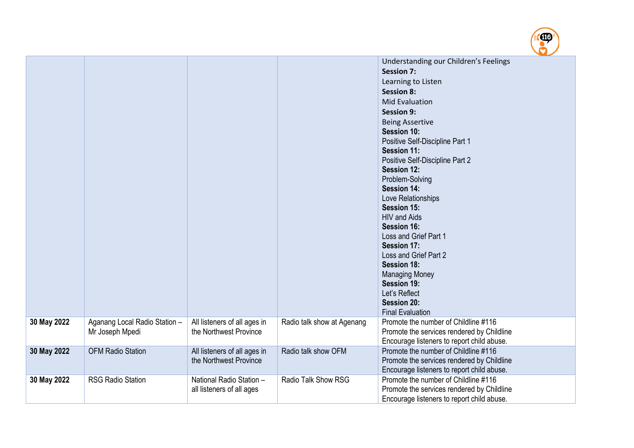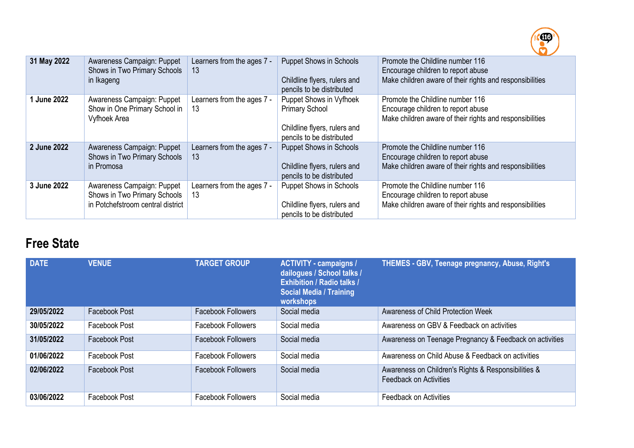

| 31 May 2022 | Awareness Campaign: Puppet<br>Shows in Two Primary Schools<br>in Ikageng                        | Learners from the ages 7 -<br>13 | <b>Puppet Shows in Schools</b><br>Childline flyers, rulers and<br>pencils to be distributed                   | Promote the Childline number 116<br>Encourage children to report abuse<br>Make children aware of their rights and responsibilities |
|-------------|-------------------------------------------------------------------------------------------------|----------------------------------|---------------------------------------------------------------------------------------------------------------|------------------------------------------------------------------------------------------------------------------------------------|
| 1 June 2022 | Awareness Campaign: Puppet<br>Show in One Primary School in<br>Vyfhoek Area                     | Learners from the ages 7 -<br>13 | Puppet Shows in Vyfhoek<br><b>Primary School</b><br>Childline flyers, rulers and<br>pencils to be distributed | Promote the Childline number 116<br>Encourage children to report abuse<br>Make children aware of their rights and responsibilities |
| 2 June 2022 | Awareness Campaign: Puppet<br>Shows in Two Primary Schools<br>in Promosa                        | Learners from the ages 7 -<br>13 | <b>Puppet Shows in Schools</b><br>Childline flyers, rulers and<br>pencils to be distributed                   | Promote the Childline number 116<br>Encourage children to report abuse<br>Make children aware of their rights and responsibilities |
| 3 June 2022 | Awareness Campaign: Puppet<br>Shows in Two Primary Schools<br>in Potchefstroom central district | Learners from the ages 7 -<br>13 | <b>Puppet Shows in Schools</b><br>Childline flyers, rulers and<br>pencils to be distributed                   | Promote the Childline number 116<br>Encourage children to report abuse<br>Make children aware of their rights and responsibilities |

## **Free State**

| <b>DATE</b> | <b>VENUE</b>  | <b>TARGET GROUP</b>       | <b>ACTIVITY - campaigns /</b><br>dailogues / School talks /<br><b>Exhibition / Radio talks /</b><br><b>Social Media / Training</b><br>workshops | THEMES - GBV, Teenage pregnancy, Abuse, Right's                                      |
|-------------|---------------|---------------------------|-------------------------------------------------------------------------------------------------------------------------------------------------|--------------------------------------------------------------------------------------|
| 29/05/2022  | Facebook Post | <b>Facebook Followers</b> | Social media                                                                                                                                    | Awareness of Child Protection Week                                                   |
| 30/05/2022  | Facebook Post | <b>Facebook Followers</b> | Social media                                                                                                                                    | Awareness on GBV & Feedback on activities                                            |
| 31/05/2022  | Facebook Post | <b>Facebook Followers</b> | Social media                                                                                                                                    | Awareness on Teenage Pregnancy & Feedback on activities                              |
| 01/06/2022  | Facebook Post | <b>Facebook Followers</b> | Social media                                                                                                                                    | Awareness on Child Abuse & Feedback on activities                                    |
| 02/06/2022  | Facebook Post | <b>Facebook Followers</b> | Social media                                                                                                                                    | Awareness on Children's Rights & Responsibilities &<br><b>Feedback on Activities</b> |
| 03/06/2022  | Facebook Post | <b>Facebook Followers</b> | Social media                                                                                                                                    | <b>Feedback on Activities</b>                                                        |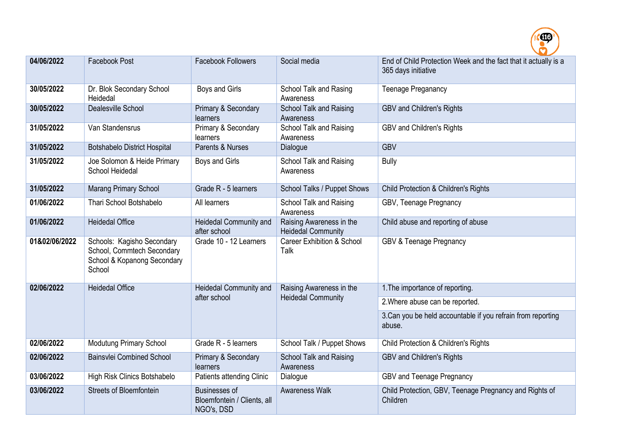

| 04/06/2022    | Facebook Post                                                                                     | <b>Facebook Followers</b>                                         | Social media                                          | End of Child Protection Week and the fact that it actually is a<br>365 days initiative |
|---------------|---------------------------------------------------------------------------------------------------|-------------------------------------------------------------------|-------------------------------------------------------|----------------------------------------------------------------------------------------|
| 30/05/2022    | Dr. Blok Secondary School<br>Heidedal                                                             | Boys and Girls                                                    | School Talk and Rasing<br>Awareness                   | <b>Teenage Preganancy</b>                                                              |
| 30/05/2022    | Dealesville School                                                                                | Primary & Secondary<br>learners                                   | School Talk and Raising<br>Awareness                  | <b>GBV and Children's Rights</b>                                                       |
| 31/05/2022    | Van Standensrus                                                                                   | Primary & Secondary<br>learners                                   | School Talk and Raising<br>Awareness                  | <b>GBV and Children's Rights</b>                                                       |
| 31/05/2022    | <b>Botshabelo District Hospital</b>                                                               | Parents & Nurses                                                  | Dialogue                                              | <b>GBV</b>                                                                             |
| 31/05/2022    | Joe Solomon & Heide Primary<br>School Heidedal                                                    | Boys and Girls                                                    | School Talk and Raising<br>Awareness                  | <b>Bully</b>                                                                           |
| 31/05/2022    | <b>Marang Primary School</b>                                                                      | Grade R - 5 learners                                              | School Talks / Puppet Shows                           | Child Protection & Children's Rights                                                   |
| 01/06/2022    | Thari School Botshabelo                                                                           | All learners                                                      | School Talk and Raising<br>Awareness                  | GBV, Teenage Pregnancy                                                                 |
| 01/06/2022    | <b>Heidedal Office</b>                                                                            | Heidedal Community and<br>after school                            | Raising Awareness in the<br><b>Heidedal Community</b> | Child abuse and reporting of abuse                                                     |
| 01&02/06/2022 | Schools: Kagisho Secondary<br>School, Commtech Secondary<br>School & Kopanong Secondary<br>School | Grade 10 - 12 Learners                                            | <b>Career Exhibition &amp; School</b><br>Talk         | <b>GBV &amp; Teenage Pregnancy</b>                                                     |
| 02/06/2022    | <b>Heidedal Office</b>                                                                            | Heidedal Community and                                            | Raising Awareness in the                              | 1. The importance of reporting.                                                        |
|               |                                                                                                   | after school                                                      | <b>Heidedal Community</b>                             | 2. Where abuse can be reported.                                                        |
|               |                                                                                                   |                                                                   |                                                       | 3. Can you be held accountable if you refrain from reporting<br>abuse.                 |
| 02/06/2022    | <b>Modutung Primary School</b>                                                                    | Grade R - 5 learners                                              | School Talk / Puppet Shows                            | Child Protection & Children's Rights                                                   |
| 02/06/2022    | <b>Bainsvlei Combined School</b>                                                                  | Primary & Secondary<br>learners                                   | <b>School Talk and Raising</b><br>Awareness           | <b>GBV and Children's Rights</b>                                                       |
| 03/06/2022    | High Risk Clinics Botshabelo                                                                      | Patients attending Clinic                                         | Dialogue                                              | GBV and Teenage Pregnancy                                                              |
| 03/06/2022    | <b>Streets of Bloemfontein</b>                                                                    | <b>Businesses of</b><br>Bloemfontein / Clients, all<br>NGO's, DSD | <b>Awareness Walk</b>                                 | Child Protection, GBV, Teenage Pregnancy and Rights of<br>Children                     |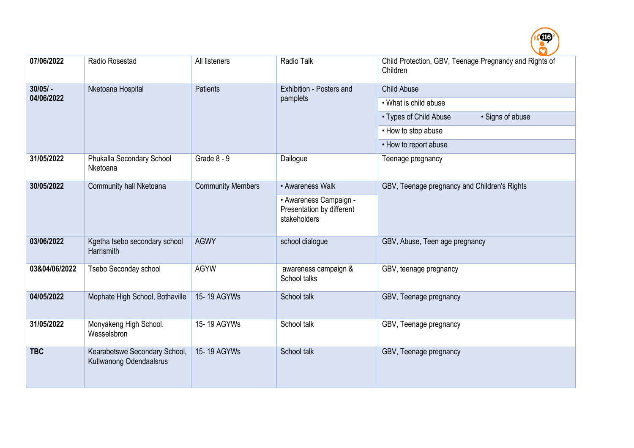

| 07/06/2022    | Radio Rosestad                                           | All listeners            | Radio Talk                                                          | Child Protection, GBV, Teenage Pregnancy and Rights of<br>Children |
|---------------|----------------------------------------------------------|--------------------------|---------------------------------------------------------------------|--------------------------------------------------------------------|
| $30/05/ -$    | Nketoana Hospital                                        | <b>Patients</b>          | Exhibition - Posters and                                            | <b>Child Abuse</b>                                                 |
| 04/06/2022    |                                                          |                          | pamplets                                                            | • What is child abuse                                              |
|               |                                                          |                          |                                                                     | · Signs of abuse<br>• Types of Child Abuse                         |
|               |                                                          |                          |                                                                     | • How to stop abuse                                                |
|               |                                                          |                          |                                                                     | • How to report abuse                                              |
| 31/05/2022    | Phukalla Secondary School<br>Nketoana                    | Grade 8 - 9              | Dailogue                                                            | Teenage pregnancy                                                  |
| 30/05/2022    | Community hall Nketoana                                  | <b>Community Members</b> | • Awareness Walk                                                    | GBV, Teenage pregnancy and Children's Rights                       |
|               |                                                          |                          | • Awareness Campaign -<br>Presentation by different<br>stakeholders |                                                                    |
| 03/06/2022    | Kgetha tsebo secondary school<br>Harrismith              | <b>AGWY</b>              | school dialogue                                                     | GBV, Abuse, Teen age pregnancy                                     |
| 03&04/06/2022 | Tsebo Seconday school                                    | <b>AGYW</b>              | awareness campaign &<br>School talks                                | GBV, teenage pregnancy                                             |
| 04/05/2022    | Mophate High School, Bothaville                          | 15-19 AGYWs              | School talk                                                         | GBV, Teenage pregnancy                                             |
| 31/05/2022    | Monyakeng High School,<br>Wesselsbron                    | 15-19 AGYWs              | School talk                                                         | GBV, Teenage pregnancy                                             |
| <b>TBC</b>    | Kearabetswe Secondary School,<br>Kutlwanong Odendaalsrus | 15-19 AGYWs              | School talk                                                         | GBV, Teenage pregnancy                                             |